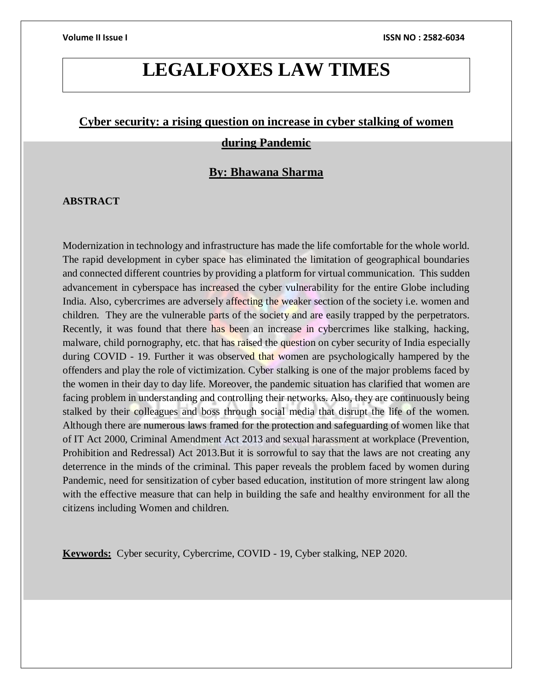# **LEGALFOXES LAW TIMES**

# **Cyber security: a rising question on increase in cyber stalking of women during Pandemic**

# **By: Bhawana Sharma**

### **ABSTRACT**

Modernization in technology and infrastructure has made the life comfortable for the whole world. The rapid development in cyber space has eliminated the limitation of geographical boundaries and connected different countries by providing a platform for virtual communication. This sudden advancement in cyberspace has increased the cyber vulnerability for the entire Globe including India. Also, cybercrimes are adversely affecting the weaker section of the society i.e. women and children. They are the vulnerable parts of the society and are easily trapped by the perpetrators. Recently, it was found that there has been an increase in cybercrimes like stalking, hacking, malware, child pornography, etc. that has raised the question on cyber security of India especially during COVID - 19. Further it was observed that women are psychologically hampered by the offenders and play the role of victimization. Cyber stalking is one of the major problems faced by the women in their day to day life. Moreover, the pandemic situation has clarified that women are facing problem in understanding and controlling their networks. Also, they are continuously being stalked by their colleagues and boss through social media that disrupt the life of the women. Although there are numerous laws framed for the protection and safeguarding of women like that of IT Act 2000, Criminal Amendment Act 2013 and sexual harassment at workplace (Prevention, Prohibition and Redressal) Act 2013.But it is sorrowful to say that the laws are not creating any deterrence in the minds of the criminal. This paper reveals the problem faced by women during Pandemic, need for sensitization of cyber based education, institution of more stringent law along with the effective measure that can help in building the safe and healthy environment for all the citizens including Women and children.

**Keywords:** Cyber security, Cybercrime, COVID - 19, Cyber stalking, NEP 2020.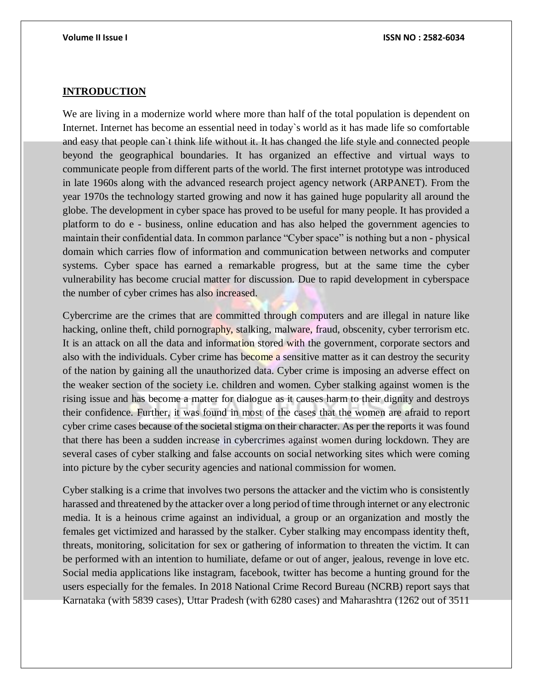### **INTRODUCTION**

We are living in a modernize world where more than half of the total population is dependent on Internet. Internet has become an essential need in today`s world as it has made life so comfortable and easy that people can`t think life without it. It has changed the life style and connected people beyond the geographical boundaries. It has organized an effective and virtual ways to communicate people from different parts of the world. The first internet prototype was introduced in late 1960s along with the advanced research project agency network (ARPANET). From the year 1970s the technology started growing and now it has gained huge popularity all around the globe. The development in cyber space has proved to be useful for many people. It has provided a platform to do e - business, online education and has also helped the government agencies to maintain their confidential data. In common parlance "Cyber space" is nothing but a non - physical domain which carries flow of information and communication between networks and computer systems. Cyber space has earned a remarkable progress, but at the same time the cyber vulnerability has become crucial matter for discussion. Due to rapid development in cyberspace the number of cyber crimes has also increased.

Cybercrime are the crimes that are committed through computers and are illegal in nature like hacking, online theft, child pornography, stalking, malware, fraud, obscenity, cyber terrorism etc. It is an attack on all the data and information stored with the government, corporate sectors and also with the individuals. Cyber crime has become a sensitive matter as it can destroy the security of the nation by gaining all the unauthorized data. Cyber crime is imposing an adverse effect on the weaker section of the society i.e. children and women. Cyber stalking against women is the rising issue and has become a matter for dialogue as it causes harm to their dignity and destroys their confidence. Further, it was found in most of the cases that the women are afraid to report cyber crime cases because of the societal stigma on their character. As per the reports it was found that there has been a sudden increase in cybercrimes against women during lockdown. They are several cases of cyber stalking and false accounts on social networking sites which were coming into picture by the cyber security agencies and national commission for women.

Cyber stalking is a crime that involves two persons the attacker and the victim who is consistently harassed and threatened by the attacker over a long period of time through internet or any electronic media. It is a heinous crime against an individual, a group or an organization and mostly the females get victimized and harassed by the stalker. Cyber stalking may encompass identity theft, threats, monitoring, solicitation for sex or gathering of information to threaten the victim. It can be performed with an intention to humiliate, defame or out of anger, jealous, revenge in love etc. Social media applications like instagram, facebook, twitter has become a hunting ground for the users especially for the females. In 2018 National Crime Record Bureau (NCRB) report says that Karnataka (with 5839 cases), Uttar Pradesh (with 6280 cases) and Maharashtra (1262 out of 3511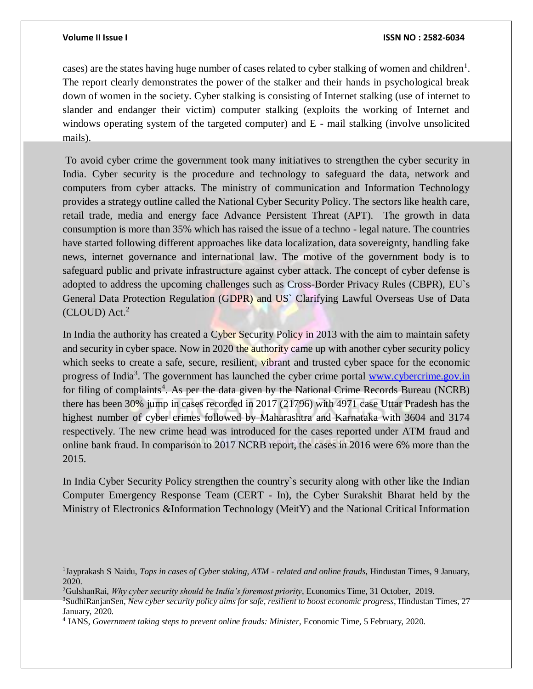$\overline{a}$ 

cases) are the states having huge number of cases related to cyber stalking of women and children<sup>1</sup>. The report clearly demonstrates the power of the stalker and their hands in psychological break down of women in the society. Cyber stalking is consisting of Internet stalking (use of internet to slander and endanger their victim) computer stalking (exploits the working of Internet and windows operating system of the targeted computer) and E - mail stalking (involve unsolicited mails).

To avoid cyber crime the government took many initiatives to strengthen the cyber security in India. Cyber security is the procedure and technology to safeguard the data, network and computers from cyber attacks. The ministry of communication and Information Technology provides a strategy outline called the National Cyber Security Policy. The sectors like health care, retail trade, media and energy face Advance Persistent Threat (APT). The growth in data consumption is more than 35% which has raised the issue of a techno - legal nature. The countries have started following different approaches like data localization, data sovereignty, handling fake news, internet governance and international law. The motive of the government body is to safeguard public and private infrastructure against cyber attack. The concept of cyber defense is adopted to address the upcoming challenges such as Cross-Border Privacy Rules (CBPR), EU`s General Data Protection Regulation (GDPR) and US` Clarifying Lawful Overseas Use of Data  $(CLOUD)$  Act.<sup>2</sup>

In India the authority has created a Cyber Security Policy in 2013 with the aim to maintain safety and security in cyber space. Now in 2020 the authority came up with another cyber security policy which seeks to create a safe, secure, resilient, vibrant and trusted cyber space for the economic progress of India<sup>3</sup>. The government has launched the cyber crime portal www.cybercrime.gov.in for filing of complaints<sup>4</sup>. As per the data given by the National Crime Records Bureau (NCRB) there has been 30% jump in cases recorded in 2017 (21796) with 4971 case Uttar Pradesh has the highest number of cyber crimes followed by Maharashtra and Karnataka with 3604 and 3174 respectively. The new crime head was introduced for the cases reported under ATM fraud and online bank fraud. In comparison to 2017 NCRB report, the cases in 2016 were 6% more than the 2015.

In India Cyber Security Policy strengthen the country`s security along with other like the Indian Computer Emergency Response Team (CERT - In), the Cyber Surakshit Bharat held by the Ministry of Electronics &Information Technology (MeitY) and the National Critical Information

<sup>1</sup> Jayprakash S Naidu, *Tops in cases of Cyber staking, ATM - related and online frauds*, Hindustan Times, 9 January, 2020.

<sup>2</sup>GulshanRai, *Why cyber security should be India's foremost priority*, Economics Time, 31 October, 2019.

<sup>3</sup>SudhiRanjanSen, *New cyber security policy aims for safe, resilient to boost economic progress*, Hindustan Times, 27 January, 2020.

<sup>4</sup> IANS, *Government taking steps to prevent online frauds: Minister*, Economic Time, 5 February, 2020.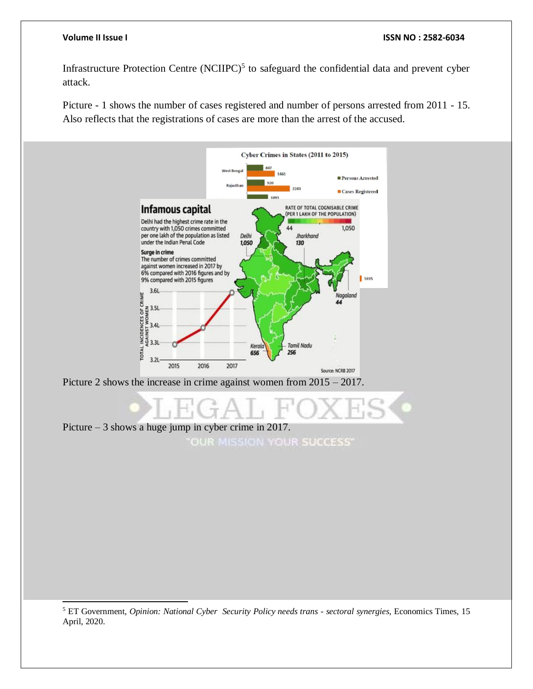l

### **Volume II Issue I ISSN NO : 2582-6034**

Infrastructure Protection Centre  $(NCIIPC)^5$  to safeguard the confidential data and prevent cyber attack.

Picture - 1 shows the number of cases registered and number of persons arrested from 2011 - 15. Also reflects that the registrations of cases are more than the arrest of the accused.



<sup>5</sup> ET Government, *Opinion: National Cyber Security Policy needs trans - sectoral synergies*, Economics Times, 15 April, 2020.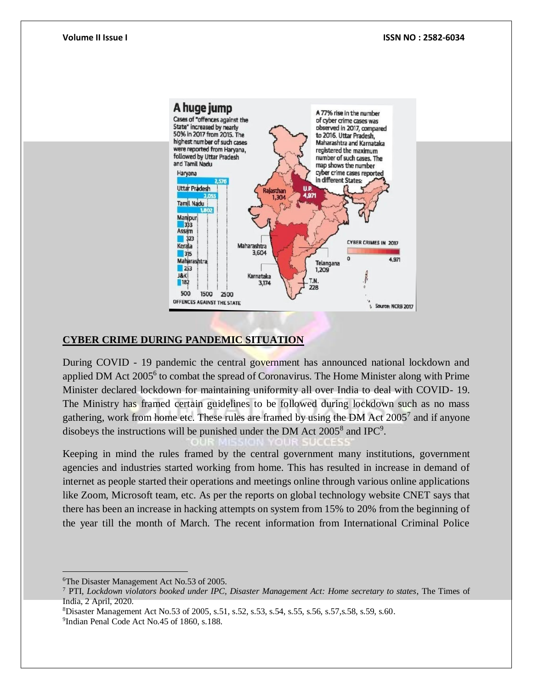

## **CYBER CRIME DURING PANDEMIC SITUATION**

During COVID - 19 pandemic the central government has announced national lockdown and applied DM Act 2005<sup>6</sup> to combat the spread of Coronavirus. The Home Minister along with Prime Minister declared lockdown for maintaining uniformity all over India to deal with COVID- 19. The Ministry has framed certain guidelines to be followed during lockdown such as no mass gathering, work from home etc. These rules are framed by using the DM Act  $2005<sup>7</sup>$  and if anyone disobeys the instructions will be punished under the DM Act  $2005^8$  and IPC<sup>9</sup>.

Keeping in mind the rules framed by the central government many institutions, government agencies and industries started working from home. This has resulted in increase in demand of internet as people started their operations and meetings online through various online applications like Zoom, Microsoft team, etc. As per the reports on global technology website CNET says that there has been an increase in hacking attempts on system from 15% to 20% from the beginning of the year till the month of March. The recent information from International Criminal Police

 $\overline{a}$ 

<sup>6</sup>The Disaster Management Act No.53 of 2005.

<sup>7</sup> PTI, *Lockdown violators booked under IPC, Disaster Management Act: Home secretary to states*, The Times of India, 2 April, 2020.

<sup>8</sup>Disaster Management Act No.53 of 2005, s.51, s.52, s.53, s.54, s.55, s.56, s.57,s.58, s.59, s.60.

<sup>9</sup> Indian Penal Code Act No.45 of 1860, s.188.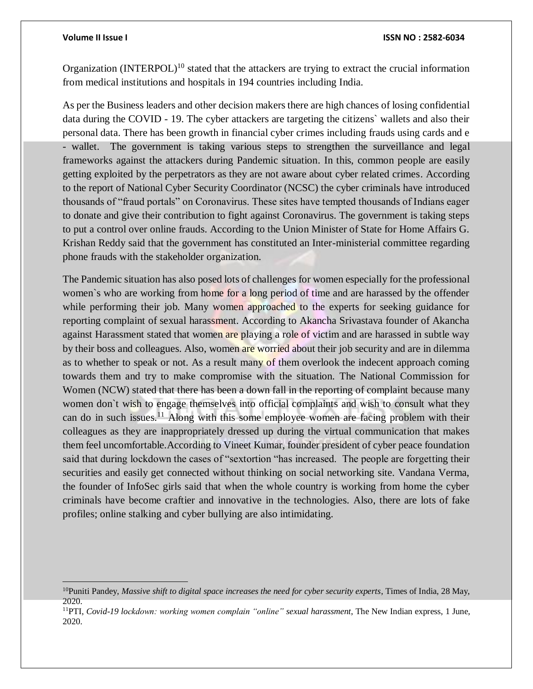### **Volume II Issue I ISSN NO : 2582-6034**

Organization (INTERPOL)<sup>10</sup> stated that the attackers are trying to extract the crucial information from medical institutions and hospitals in 194 countries including India.

As per the Business leaders and other decision makers there are high chances of losing confidential data during the COVID - 19. The cyber attackers are targeting the citizens` wallets and also their personal data. There has been growth in financial cyber crimes including frauds using cards and e - wallet. The government is taking various steps to strengthen the surveillance and legal frameworks against the attackers during Pandemic situation. In this, common people are easily getting exploited by the perpetrators as they are not aware about cyber related crimes. According to the report of National Cyber Security Coordinator (NCSC) the cyber criminals have introduced thousands of "fraud portals" on Coronavirus. These sites have tempted thousands of Indians eager to donate and give their contribution to fight against Coronavirus. The government is taking steps to put a control over online frauds. According to the Union Minister of State for Home Affairs G. Krishan Reddy said that the government has constituted an Inter-ministerial committee regarding phone frauds with the stakeholder organization.

The Pandemic situation has also posed lots of challenges for women especially for the professional women`s who are working from home for a long period of time and are harassed by the offender while performing their job. Many women approached to the experts for seeking guidance for reporting complaint of sexual harassment. According to Akancha Srivastava founder of Akancha against Harassment stated that women are playing a role of victim and are harassed in subtle way by their boss and colleagues. Also, women are worried about their job security and are in dilemma as to whether to speak or not. As a result many of them overlook the indecent approach coming towards them and try to make compromise with the situation. The National Commission for Women (NCW) stated that there has been a down fall in the reporting of complaint because many women don`t wish to engage themselves into official complaints and wish to consult what they can do in such issues.<sup>11</sup> Along with this some employee women are facing problem with their colleagues as they are inappropriately dressed up during the virtual communication that makes them feel uncomfortable.According to Vineet Kumar, founder president of cyber peace foundation said that during lockdown the cases of "sextortion "has increased. The people are forgetting their securities and easily get connected without thinking on social networking site. Vandana Verma, the founder of InfoSec girls said that when the whole country is working from home the cyber criminals have become craftier and innovative in the technologies. Also, there are lots of fake profiles; online stalking and cyber bullying are also intimidating.

<sup>10</sup>Puniti Pandey, *Massive shift to digital space increases the need for cyber security experts*, Times of India, 28 May, 2020.

<sup>11</sup>PTI, *Covid-19 lockdown: working women complain "online" sexual harassment*, The New Indian express, 1 June, 2020.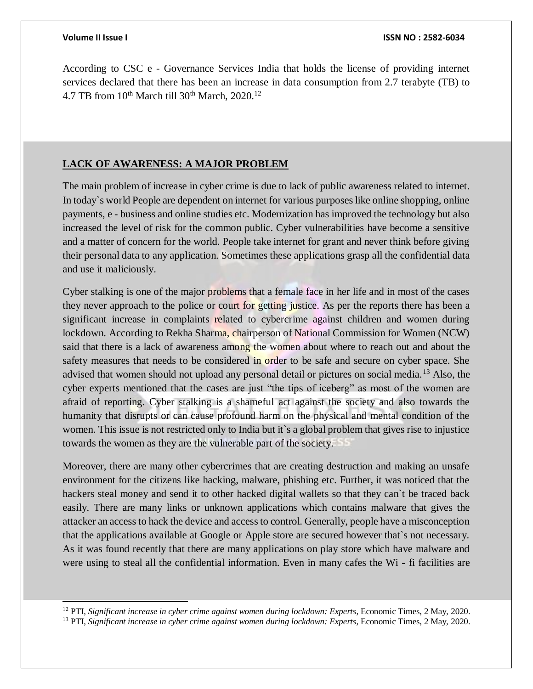l

According to CSC e - Governance Services India that holds the license of providing internet services declared that there has been an increase in data consumption from 2.7 terabyte (TB) to 4.7 TB from  $10^{th}$  March till  $30^{th}$  March,  $2020$ .<sup>12</sup>

### **LACK OF AWARENESS: A MAJOR PROBLEM**

The main problem of increase in cyber crime is due to lack of public awareness related to internet. In today`s world People are dependent on internet for various purposes like online shopping, online payments, e - business and online studies etc. Modernization has improved the technology but also increased the level of risk for the common public. Cyber vulnerabilities have become a sensitive and a matter of concern for the world. People take internet for grant and never think before giving their personal data to any application. Sometimes these applications grasp all the confidential data and use it maliciously.

Cyber stalking is one of the major problems that a female face in her life and in most of the cases they never approach to the police or court for getting justice. As per the reports there has been a significant increase in complaints related to cybercrime against children and women during lockdown. According to Rekha Sharma, chairperson of National Commission for Women (NCW) said that there is a lack of awareness among the women about where to reach out and about the safety measures that needs to be considered in order to be safe and secure on cyber space. She advised that women should not upload any personal detail or pictures on social media.<sup>13</sup> Also, the cyber experts mentioned that the cases are just "the tips of iceberg" as most of the women are afraid of reporting. Cyber stalking is a shameful act against the society and also towards the humanity that disrupts or can cause profound harm on the physical and mental condition of the women. This issue is not restricted only to India but it's a global problem that gives rise to injustice towards the women as they are the vulnerable part of the society.

Moreover, there are many other cybercrimes that are creating destruction and making an unsafe environment for the citizens like hacking, malware, phishing etc. Further, it was noticed that the hackers steal money and send it to other hacked digital wallets so that they can`t be traced back easily. There are many links or unknown applications which contains malware that gives the attacker an access to hack the device and access to control. Generally, people have a misconception that the applications available at Google or Apple store are secured however that`s not necessary. As it was found recently that there are many applications on play store which have malware and were using to steal all the confidential information. Even in many cafes the Wi - fi facilities are

<sup>12</sup> PTI, *Significant increase in cyber crime against women during lockdown: Experts*, Economic Times, 2 May, 2020.

<sup>13</sup> PTI, *Significant increase in cyber crime against women during lockdown: Experts*, Economic Times, 2 May, 2020.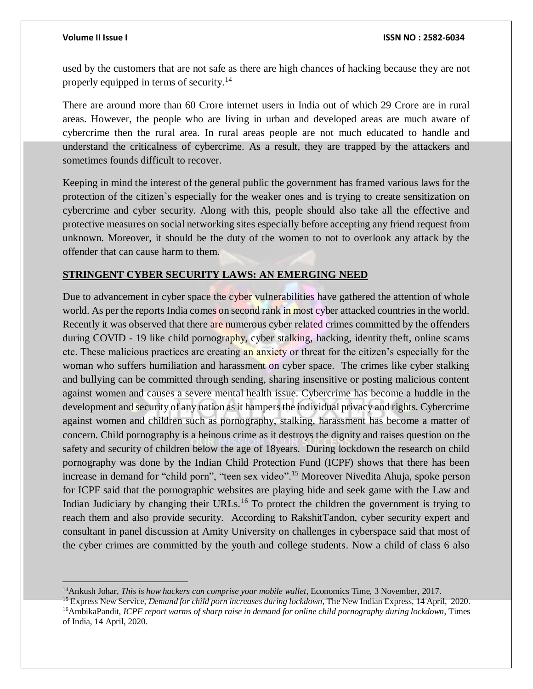used by the customers that are not safe as there are high chances of hacking because they are not properly equipped in terms of security.<sup>14</sup>

There are around more than 60 Crore internet users in India out of which 29 Crore are in rural areas. However, the people who are living in urban and developed areas are much aware of cybercrime then the rural area. In rural areas people are not much educated to handle and understand the criticalness of cybercrime. As a result, they are trapped by the attackers and sometimes founds difficult to recover.

Keeping in mind the interest of the general public the government has framed various laws for the protection of the citizen`s especially for the weaker ones and is trying to create sensitization on cybercrime and cyber security. Along with this, people should also take all the effective and protective measures on social networking sites especially before accepting any friend request from unknown. Moreover, it should be the duty of the women to not to overlook any attack by the offender that can cause harm to them.

# **STRINGENT CYBER SECURITY LAWS: AN EMERGING NEED**

Due to advancement in cyber space the cyber vulnerabilities have gathered the attention of whole world. As per the reports India comes on second rank in most cyber attacked countries in the world. Recently it was observed that there are numerous cyber related crimes committed by the offenders during COVID - 19 like child pornography, cyber stalking, hacking, identity theft, online scams etc. These malicious practices are creating an anxiety or threat for the citizen's especially for the woman who suffers humiliation and harassment on cyber space. The crimes like cyber stalking and bullying can be committed through sending, sharing insensitive or posting malicious content against women and causes a severe mental health issue. Cybercrime has become a huddle in the development and security of any nation as it hampers the individual privacy and rights. Cybercrime against women and children such as pornography, stalking, harassment has become a matter of concern. Child pornography is a heinous crime as it destroys the dignity and raises question on the safety and security of children below the age of 18years. During lockdown the research on child pornography was done by the Indian Child Protection Fund (ICPF) shows that there has been increase in demand for "child porn", "teen sex video".<sup>15</sup> Moreover Nivedita Ahuja, spoke person for ICPF said that the pornographic websites are playing hide and seek game with the Law and Indian Judiciary by changing their URLs.<sup>16</sup> To protect the children the government is trying to reach them and also provide security. According to RakshitTandon, cyber security expert and consultant in panel discussion at Amity University on challenges in cyberspace said that most of the cyber crimes are committed by the youth and college students. Now a child of class 6 also

<sup>14</sup>Ankush Johar, *This is how hackers can comprise your mobile wallet*, Economics Time, 3 November, 2017.

<sup>15</sup> Express New Service, *Demand for child porn increases during lockdown*, The New Indian Express, 14 April, 2020. <sup>16</sup>AmbikaPandit, *ICPF report warms of sharp raise in demand for online child pornography during lockdown*, Times of India, 14 April, 2020.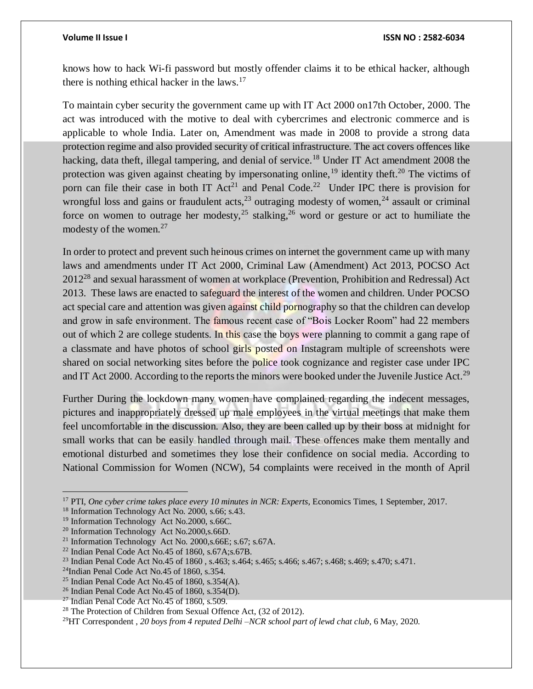knows how to hack Wi-fi password but mostly offender claims it to be ethical hacker, although there is nothing ethical hacker in the laws. $17$ 

To maintain cyber security the government came up with IT Act 2000 on17th October, 2000. The act was introduced with the motive to deal with cybercrimes and electronic commerce and is applicable to whole India. Later on, Amendment was made in 2008 to provide a strong data protection regime and also provided security of critical infrastructure. The act covers offences like hacking, data theft, illegal tampering, and denial of service.<sup>18</sup> Under IT Act amendment 2008 the protection was given against cheating by impersonating online,  $19$  identity theft.<sup>20</sup> The victims of porn can file their case in both IT  $Act^{21}$  and Penal Code.<sup>22</sup> Under IPC there is provision for wrongful loss and gains or fraudulent acts,  $^{23}$  outraging modesty of women,  $^{24}$  assault or criminal force on women to outrage her modesty,  $25$  stalking,  $26$  word or gesture or act to humiliate the modesty of the women.<sup>27</sup>

In order to protect and prevent such heinous crimes on internet the government came up with many laws and amendments under IT Act 2000, Criminal Law (Amendment) Act 2013, POCSO Act 2012<sup>28</sup> and sexual harassment of women at workplace (Prevention, Prohibition and Redressal) Act 2013. These laws are enacted to safeguard the interest of the women and children. Under POCSO act special care and attention was given against child pornography so that the children can develop and grow in safe environment. The famous recent case of "Bois Locker Room" had 22 members out of which 2 are college students. In this case the boys were planning to commit a gang rape of a classmate and have photos of school girls posted on Instagram multiple of screenshots were shared on social networking sites before the police took cognizance and register case under IPC and IT Act 2000. According to the reports the minors were booked under the Juvenile Justice Act.<sup>29</sup>

Further During the lockdown many women have complained regarding the indecent messages, pictures and inappropriately dressed up male employees in the virtual meetings that make them feel uncomfortable in the discussion. Also, they are been called up by their boss at midnight for small works that can be easily handled through mail. These offences make them mentally and emotional disturbed and sometimes they lose their confidence on social media. According to National Commission for Women (NCW), 54 complaints were received in the month of April

<sup>17</sup> PTI, *One cyber crime takes place every 10 minutes in NCR: Experts*, Economics Times, 1 September, 2017.

<sup>&</sup>lt;sup>18</sup> Information Technology Act No. 2000, s.66; s.43.

<sup>&</sup>lt;sup>19</sup> Information Technology Act No.2000, s.66C.

<sup>20</sup> Information Technology Act No.2000,s.66D.

<sup>&</sup>lt;sup>21</sup> Information Technology Act No. 2000, s. 66E; s. 67; s. 67A.

 $22$  Indian Penal Code Act No.45 of 1860, s.67A;s.67B.

<sup>23</sup> Indian Penal Code Act No.45 of 1860 , s.463; s.464; s.465; s.466; s.467; s.468; s.469; s.470; s.471.

<sup>&</sup>lt;sup>24</sup>Indian Penal Code Act No.45 of 1860, s.354.

 $25$  Indian Penal Code Act No.45 of 1860, s.354(A).

 $^{26}$  Indian Penal Code Act No.45 of 1860, s.354(D).

 $27$  Indian Penal Code Act No.45 of 1860, s.509.

<sup>28</sup> The Protection of Children from Sexual Offence Act, (32 of 2012).

<sup>&</sup>lt;sup>29</sup>HT Correspondent, 20 boys from 4 reputed Delhi –NCR school part of lewd chat club, 6 May, 2020.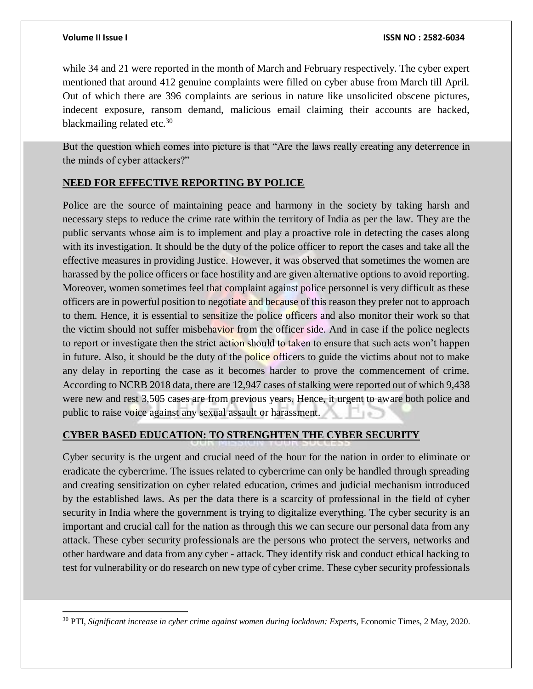while 34 and 21 were reported in the month of March and February respectively. The cyber expert mentioned that around 412 genuine complaints were filled on cyber abuse from March till April. Out of which there are 396 complaints are serious in nature like unsolicited obscene pictures, indecent exposure, ransom demand, malicious email claiming their accounts are hacked, blackmailing related etc.<sup>30</sup>

But the question which comes into picture is that "Are the laws really creating any deterrence in the minds of cyber attackers?"

# **NEED FOR EFFECTIVE REPORTING BY POLICE**

Police are the source of maintaining peace and harmony in the society by taking harsh and necessary steps to reduce the crime rate within the territory of India as per the law. They are the public servants whose aim is to implement and play a proactive role in detecting the cases along with its investigation. It should be the duty of the police officer to report the cases and take all the effective measures in providing Justice. However, it was observed that sometimes the women are harassed by the police officers or face hostility and are given alternative options to avoid reporting. Moreover, women sometimes feel that complaint against police personnel is very difficult as these officers are in powerful position to negotiate and because of this reason they prefer not to approach to them. Hence, it is essential to sensitize the police officers and also monitor their work so that the victim should not suffer misbehavior from the officer side. And in case if the police neglects to report or investigate then the strict action should to taken to ensure that such acts won't happen in future. Also, it should be the duty of the police officers to guide the victims about not to make any delay in reporting the case as it becomes harder to prove the commencement of crime. According to NCRB 2018 data, there are 12,947 cases of stalking were reported out of which 9,438 were new and rest 3,505 cases are from previous years. Hence, it urgent to aware both police and public to raise voice against any sexual assault or harassment.

# **CYBER BASED EDUCATION: TO STRENGHTEN THE CYBER SECURITY**

Cyber security is the urgent and crucial need of the hour for the nation in order to eliminate or eradicate the cybercrime. The issues related to cybercrime can only be handled through spreading and creating sensitization on cyber related education, crimes and judicial mechanism introduced by the established laws. As per the data there is a scarcity of professional in the field of cyber security in India where the government is trying to digitalize everything. The cyber security is an important and crucial call for the nation as through this we can secure our personal data from any attack. These cyber security professionals are the persons who protect the servers, networks and other hardware and data from any cyber - attack. They identify risk and conduct ethical hacking to test for vulnerability or do research on new type of cyber crime. These cyber security professionals

 $\overline{a}$ <sup>30</sup> PTI, *Significant increase in cyber crime against women during lockdown: Experts*, Economic Times, 2 May, 2020.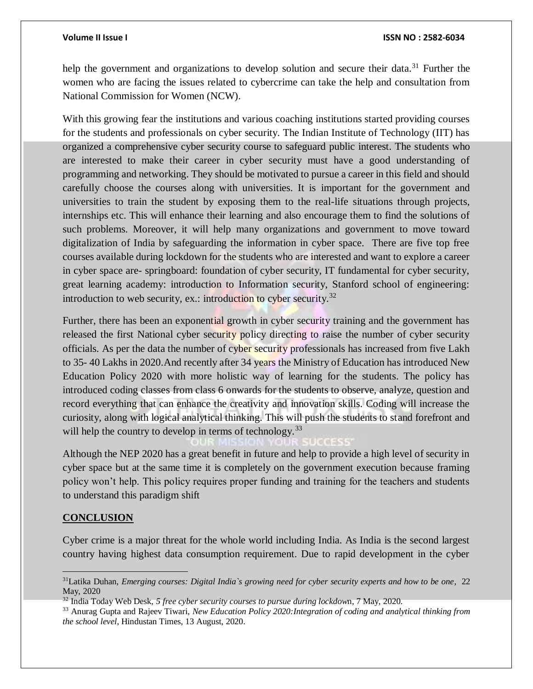help the government and organizations to develop solution and secure their data.<sup>31</sup> Further the women who are facing the issues related to cybercrime can take the help and consultation from National Commission for Women (NCW).

With this growing fear the institutions and various coaching institutions started providing courses for the students and professionals on cyber security. The Indian Institute of Technology (IIT) has organized a comprehensive cyber security course to safeguard public interest. The students who are interested to make their career in cyber security must have a good understanding of programming and networking. They should be motivated to pursue a career in this field and should carefully choose the courses along with universities. It is important for the government and universities to train the student by exposing them to the real-life situations through projects, internships etc. This will enhance their learning and also encourage them to find the solutions of such problems. Moreover, it will help many organizations and government to move toward digitalization of India by safeguarding the information in cyber space. There are five top free courses available during lockdown for the students who are interested and want to explore a career in cyber space are- springboard: foundation of cyber security, IT fundamental for cyber security, great learning academy: introduction to Information security, Stanford school of engineering: introduction to web security, ex.: introduction to cyber security.<sup>32</sup>

Further, there has been an exponential growth in cyber security training and the government has released the first National cyber security policy directing to raise the number of cyber security officials. As per the data the number of cyber security professionals has increased from five Lakh to 35- 40 Lakhs in 2020.And recently after 34 years the Ministry of Education has introduced New Education Policy 2020 with more holistic way of learning for the students. The policy has introduced coding classes from class 6 onwards for the students to observe, analyze, question and record everything that can enhance the creativity and innovation skills. Coding will increase the curiosity, along with logical analytical thinking. This will push the students to stand forefront and will help the country to develop in terms of technology.<sup>33</sup>

Although the NEP 2020 has a great benefit in future and help to provide a high level of security in cyber space but at the same time it is completely on the government execution because framing policy won't help. This policy requires proper funding and training for the teachers and students to understand this paradigm shift

## **CONCLUSION**

 $\overline{a}$ 

Cyber crime is a major threat for the whole world including India. As India is the second largest country having highest data consumption requirement. Due to rapid development in the cyber

<sup>31</sup>Latika Duhan, *Emerging courses: Digital India`s growing need for cyber security experts and how to be one*, 22 May, 2020

<sup>32</sup> India Today Web Desk, *5 free cyber security courses to pursue during lockdow*n, 7 May, 2020.

<sup>33</sup> Anurag Gupta and Rajeev Tiwari, *New Education Policy 2020:Integration of coding and analytical thinking from the school level*, Hindustan Times, 13 August, 2020.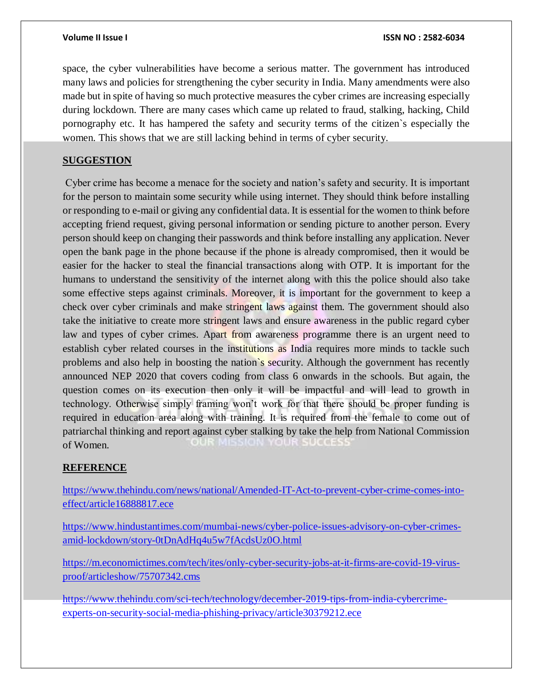space, the cyber vulnerabilities have become a serious matter. The government has introduced many laws and policies for strengthening the cyber security in India. Many amendments were also made but in spite of having so much protective measures the cyber crimes are increasing especially during lockdown. There are many cases which came up related to fraud, stalking, hacking, Child pornography etc. It has hampered the safety and security terms of the citizen`s especially the women. This shows that we are still lacking behind in terms of cyber security.

## **SUGGESTION**

Cyber crime has become a menace for the society and nation's safety and security. It is important for the person to maintain some security while using internet. They should think before installing or responding to e-mail or giving any confidential data. It is essential for the women to think before accepting friend request, giving personal information or sending picture to another person. Every person should keep on changing their passwords and think before installing any application. Never open the bank page in the phone because if the phone is already compromised, then it would be easier for the hacker to steal the financial transactions along with OTP. It is important for the humans to understand the sensitivity of the internet along with this the police should also take some effective steps against criminals. Moreover, it is important for the government to keep a check over cyber criminals and make stringent laws against them. The government should also take the initiative to create more stringent laws and ensure awareness in the public regard cyber law and types of cyber crimes. Apart from awareness programme there is an urgent need to establish cyber related courses in the institutions as India requires more minds to tackle such problems and also help in boosting the nation`s security. Although the government has recently announced NEP 2020 that covers coding from class 6 onwards in the schools. But again, the question comes on its execution then only it will be impactful and will lead to growth in technology. Otherwise simply framing won't work for that there should be proper funding is required in education area along with training. It is required from the female to come out of patriarchal thinking and report against cyber stalking by take the help from National Commission of Women.

## **REFERENCE**

[https://www.thehindu.com/news/national/Amended-IT-Act-to-prevent-cyber-crime-comes-into](https://www.thehindu.com/news/national/Amended-IT-Act-to-prevent-cyber-crime-comes-into-effect/article16888817.ece)[effect/article16888817.ece](https://www.thehindu.com/news/national/Amended-IT-Act-to-prevent-cyber-crime-comes-into-effect/article16888817.ece)

[https://www.hindustantimes.com/mumbai-news/cyber-police-issues-advisory-on-cyber-crimes](https://www.hindustantimes.com/mumbai-news/cyber-police-issues-advisory-on-cyber-crimes-amid-lockdown/story-0tDnAdHq4u5w7fAcdsUz0O.html)[amid-lockdown/story-0tDnAdHq4u5w7fAcdsUz0O.html](https://www.hindustantimes.com/mumbai-news/cyber-police-issues-advisory-on-cyber-crimes-amid-lockdown/story-0tDnAdHq4u5w7fAcdsUz0O.html)

[https://m.economictimes.com/tech/ites/only-cyber-security-jobs-at-it-firms-are-covid-19-virus](https://m.economictimes.com/tech/ites/only-cyber-security-jobs-at-it-firms-are-covid-19-virus-proof/articleshow/75707342.cms)[proof/articleshow/75707342.cms](https://m.economictimes.com/tech/ites/only-cyber-security-jobs-at-it-firms-are-covid-19-virus-proof/articleshow/75707342.cms)

[https://www.thehindu.com/sci-tech/technology/december-2019-tips-from-india-cybercrime](https://www.thehindu.com/sci-tech/technology/december-2019-tips-from-india-cybercrime-experts-on-security-social-media-phishing-privacy/article30379212.ece)[experts-on-security-social-media-phishing-privacy/article30379212.ece](https://www.thehindu.com/sci-tech/technology/december-2019-tips-from-india-cybercrime-experts-on-security-social-media-phishing-privacy/article30379212.ece)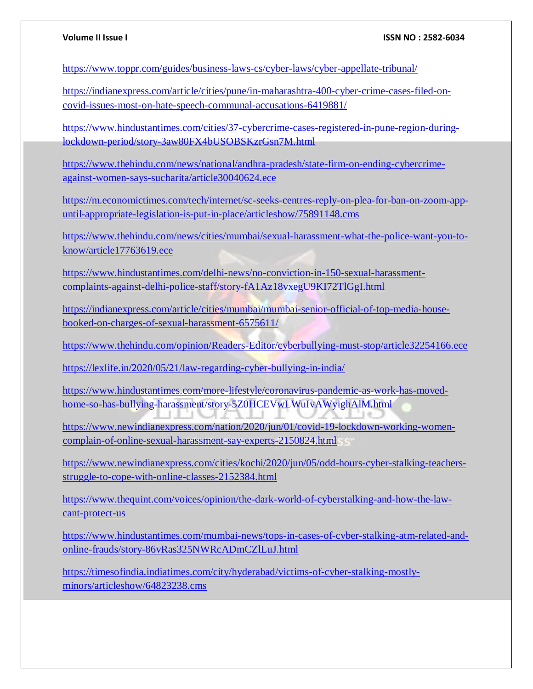<https://www.toppr.com/guides/business-laws-cs/cyber-laws/cyber-appellate-tribunal/>

[https://indianexpress.com/article/cities/pune/in-maharashtra-400-cyber-crime-cases-filed-on](https://indianexpress.com/article/cities/pune/in-maharashtra-400-cyber-crime-cases-filed-on-covid-issues-most-on-hate-speech-communal-accusations-6419881/)[covid-issues-most-on-hate-speech-communal-accusations-6419881/](https://indianexpress.com/article/cities/pune/in-maharashtra-400-cyber-crime-cases-filed-on-covid-issues-most-on-hate-speech-communal-accusations-6419881/)

[https://www.hindustantimes.com/cities/37-cybercrime-cases-registered-in-pune-region-during](https://www.hindustantimes.com/cities/37-cybercrime-cases-registered-in-pune-region-during-lockdown-period/story-3aw80FX4bUSOBSKzrGsn7M.html)[lockdown-period/story-3aw80FX4bUSOBSKzrGsn7M.html](https://www.hindustantimes.com/cities/37-cybercrime-cases-registered-in-pune-region-during-lockdown-period/story-3aw80FX4bUSOBSKzrGsn7M.html)

[https://www.thehindu.com/news/national/andhra-pradesh/state-firm-on-ending-cybercrime](https://www.thehindu.com/news/national/andhra-pradesh/state-firm-on-ending-cybercrime-against-women-says-sucharita/article30040624.ece)[against-women-says-sucharita/article30040624.ece](https://www.thehindu.com/news/national/andhra-pradesh/state-firm-on-ending-cybercrime-against-women-says-sucharita/article30040624.ece)

[https://m.economictimes.com/tech/internet/sc-seeks-centres-reply-on-plea-for-ban-on-zoom-app](https://m.economictimes.com/tech/internet/sc-seeks-centres-reply-on-plea-for-ban-on-zoom-app-until-appropriate-legislation-is-put-in-place/articleshow/75891148.cms)[until-appropriate-legislation-is-put-in-place/articleshow/75891148.cms](https://m.economictimes.com/tech/internet/sc-seeks-centres-reply-on-plea-for-ban-on-zoom-app-until-appropriate-legislation-is-put-in-place/articleshow/75891148.cms)

[https://www.thehindu.com/news/cities/mumbai/sexual-harassment-what-the-police-want-you-to](https://www.thehindu.com/news/cities/mumbai/sexual-harassment-what-the-police-want-you-to-know/article17763619.ece)[know/article17763619.ece](https://www.thehindu.com/news/cities/mumbai/sexual-harassment-what-the-police-want-you-to-know/article17763619.ece)

[https://www.hindustantimes.com/delhi-news/no-conviction-in-150-sexual-harassment](https://www.hindustantimes.com/delhi-news/no-conviction-in-150-sexual-harassment-complaints-against-delhi-police-staff/story-fA1Az18vxegU9KI72TlGgI.html)[complaints-against-delhi-police-staff/story-fA1Az18vxegU9KI72TlGgI.html](https://www.hindustantimes.com/delhi-news/no-conviction-in-150-sexual-harassment-complaints-against-delhi-police-staff/story-fA1Az18vxegU9KI72TlGgI.html)

[https://indianexpress.com/article/cities/mumbai/mumbai-senior-official-of-top-media-house](https://indianexpress.com/article/cities/mumbai/mumbai-senior-official-of-top-media-house-booked-on-charges-of-sexual-harassment-6575611/)[booked-on-charges-of-sexual-harassment-6575611/](https://indianexpress.com/article/cities/mumbai/mumbai-senior-official-of-top-media-house-booked-on-charges-of-sexual-harassment-6575611/)

<https://www.thehindu.com/opinion/Readers-Editor/cyberbullying-must-stop/article32254166.ece>

<https://lexlife.in/2020/05/21/law-regarding-cyber-bullying-in-india/>

[https://www.hindustantimes.com/more-lifestyle/coronavirus-pandemic-as-work-has-moved](https://www.hindustantimes.com/more-lifestyle/coronavirus-pandemic-as-work-has-moved-home-so-has-bullying-harassment/story-5Z0HCEVwLWuIvAWyighAlM.html)[home-so-has-bullying-harassment/story-5Z0HCEVwLWuIvAWyighAlM.html](https://www.hindustantimes.com/more-lifestyle/coronavirus-pandemic-as-work-has-moved-home-so-has-bullying-harassment/story-5Z0HCEVwLWuIvAWyighAlM.html) EEU CHALLE

[https://www.newindianexpress.com/nation/2020/jun/01/covid-19-lockdown-working-women](https://www.newindianexpress.com/nation/2020/jun/01/covid-19-lockdown-working-women-complain-of-online-sexual-harassment-say-experts-2150824.html)[complain-of-online-sexual-harassment-say-experts-2150824.html](https://www.newindianexpress.com/nation/2020/jun/01/covid-19-lockdown-working-women-complain-of-online-sexual-harassment-say-experts-2150824.html)

[https://www.newindianexpress.com/cities/kochi/2020/jun/05/odd-hours-cyber-stalking-teachers](https://www.newindianexpress.com/cities/kochi/2020/jun/05/odd-hours-cyber-stalking-teachers-struggle-to-cope-with-online-classes-2152384.html)[struggle-to-cope-with-online-classes-2152384.html](https://www.newindianexpress.com/cities/kochi/2020/jun/05/odd-hours-cyber-stalking-teachers-struggle-to-cope-with-online-classes-2152384.html)

[https://www.thequint.com/voices/opinion/the-dark-world-of-cyberstalking-and-how-the-law](https://www.thequint.com/voices/opinion/the-dark-world-of-cyberstalking-and-how-the-law-cant-protect-us)[cant-protect-us](https://www.thequint.com/voices/opinion/the-dark-world-of-cyberstalking-and-how-the-law-cant-protect-us)

[https://www.hindustantimes.com/mumbai-news/tops-in-cases-of-cyber-stalking-atm-related-and](https://www.hindustantimes.com/mumbai-news/tops-in-cases-of-cyber-stalking-atm-related-and-online-frauds/story-86vRas325NWRcADmCZlLuJ.html)[online-frauds/story-86vRas325NWRcADmCZlLuJ.html](https://www.hindustantimes.com/mumbai-news/tops-in-cases-of-cyber-stalking-atm-related-and-online-frauds/story-86vRas325NWRcADmCZlLuJ.html)

[https://timesofindia.indiatimes.com/city/hyderabad/victims-of-cyber-stalking-mostly](https://timesofindia.indiatimes.com/city/hyderabad/victims-of-cyber-stalking-mostly-minors/articleshow/64823238.cms)[minors/articleshow/64823238.cms](https://timesofindia.indiatimes.com/city/hyderabad/victims-of-cyber-stalking-mostly-minors/articleshow/64823238.cms)